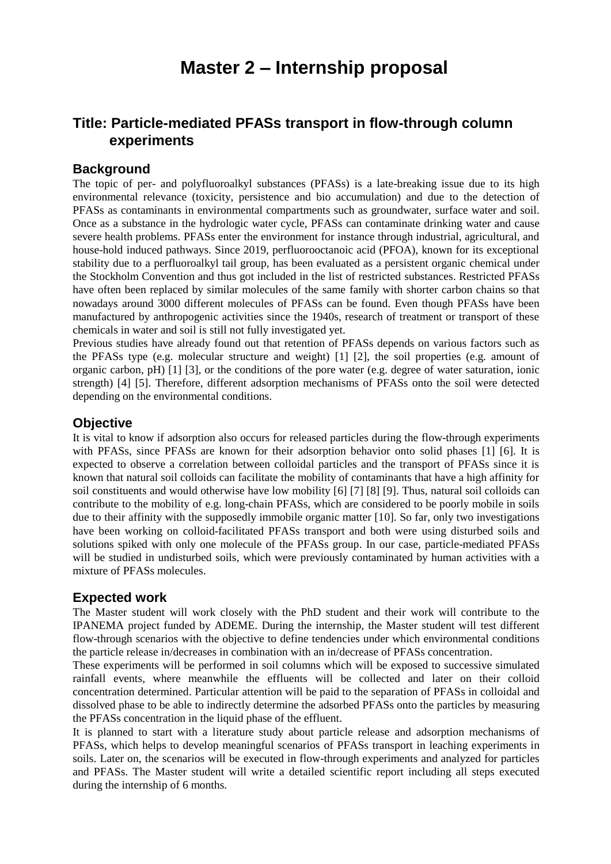# **Master 2 – Internship proposal**

# **Title: Particle-mediated PFASs transport in flow-through column experiments**

#### **Background**

The topic of per- and polyfluoroalkyl substances (PFASs) is a late-breaking issue due to its high environmental relevance (toxicity, persistence and bio accumulation) and due to the detection of PFASs as contaminants in environmental compartments such as groundwater, surface water and soil. Once as a substance in the hydrologic water cycle, PFASs can contaminate drinking water and cause severe health problems. PFASs enter the environment for instance through industrial, agricultural, and house-hold induced pathways. Since 2019, perfluorooctanoic acid (PFOA), known for its exceptional stability due to a perfluoroalkyl tail group, has been evaluated as a persistent organic chemical under the Stockholm Convention and thus got included in the list of restricted substances. Restricted PFASs have often been replaced by similar molecules of the same family with shorter carbon chains so that nowadays around 3000 different molecules of PFASs can be found. Even though PFASs have been manufactured by anthropogenic activities since the 1940s, research of treatment or transport of these chemicals in water and soil is still not fully investigated yet.

Previous studies have already found out that retention of PFASs depends on various factors such as the PFASs type (e.g. molecular structure and weight) [1] [2], the soil properties (e.g. amount of organic carbon, pH) [1] [3], or the conditions of the pore water (e.g. degree of water saturation, ionic strength) [4] [5]. Therefore, different adsorption mechanisms of PFASs onto the soil were detected depending on the environmental conditions.

#### **Objective**

It is vital to know if adsorption also occurs for released particles during the flow-through experiments with PFASs, since PFASs are known for their adsorption behavior onto solid phases [1] [6]. It is expected to observe a correlation between colloidal particles and the transport of PFASs since it is known that natural soil colloids can facilitate the mobility of contaminants that have a high affinity for soil constituents and would otherwise have low mobility [6] [7] [8] [9]. Thus, natural soil colloids can contribute to the mobility of e.g. long-chain PFASs, which are considered to be poorly mobile in soils due to their affinity with the supposedly immobile organic matter [10]. So far, only two investigations have been working on colloid-facilitated PFASs transport and both were using disturbed soils and solutions spiked with only one molecule of the PFASs group. In our case, particle-mediated PFASs will be studied in undisturbed soils, which were previously contaminated by human activities with a mixture of PFASs molecules.

#### **Expected work**

The Master student will work closely with the PhD student and their work will contribute to the IPANEMA project funded by ADEME. During the internship, the Master student will test different flow-through scenarios with the objective to define tendencies under which environmental conditions the particle release in/decreases in combination with an in/decrease of PFASs concentration.

These experiments will be performed in soil columns which will be exposed to successive simulated rainfall events, where meanwhile the effluents will be collected and later on their colloid concentration determined. Particular attention will be paid to the separation of PFASs in colloidal and dissolved phase to be able to indirectly determine the adsorbed PFASs onto the particles by measuring the PFASs concentration in the liquid phase of the effluent.

It is planned to start with a literature study about particle release and adsorption mechanisms of PFASs, which helps to develop meaningful scenarios of PFASs transport in leaching experiments in soils. Later on, the scenarios will be executed in flow-through experiments and analyzed for particles and PFASs. The Master student will write a detailed scientific report including all steps executed during the internship of 6 months.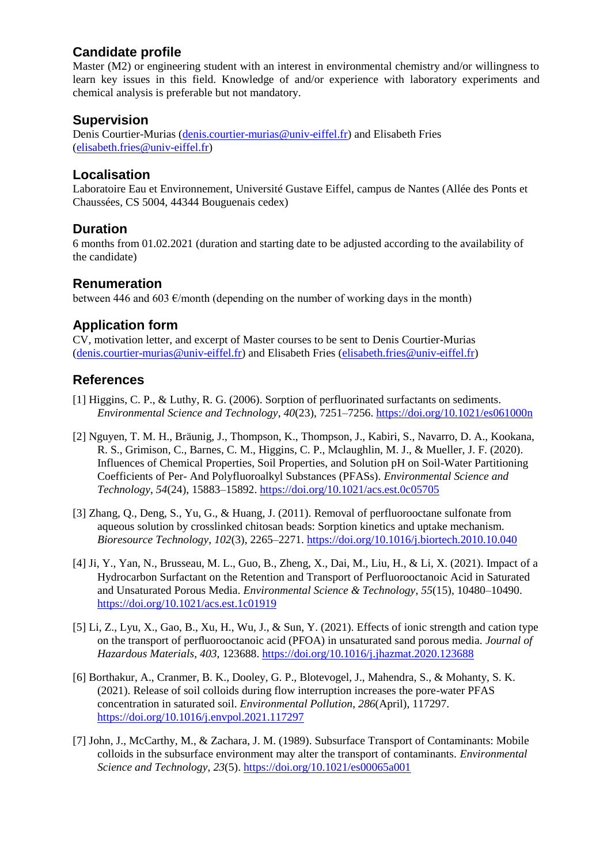## **Candidate profile**

Master (M2) or engineering student with an interest in environmental chemistry and/or willingness to learn key issues in this field. Knowledge of and/or experience with laboratory experiments and chemical analysis is preferable but not mandatory.

## **Supervision**

Denis Courtier-Murias [\(denis.courtier-murias@univ-eiffel.fr\)](mailto:denis.courtier-murias@univ-eiffel.fr) and Elisabeth Fries [\(elisabeth.fries@univ-eiffel.fr\)](mailto:elisabeth.fries@univ-eiffel.fr)

## **Localisation**

Laboratoire Eau et Environnement, Université Gustave Eiffel, campus de Nantes (Allée des Ponts et Chaussées, CS 5004, 44344 Bouguenais cedex)

# **Duration**

6 months from 01.02.2021 (duration and starting date to be adjusted according to the availability of the candidate)

# **Renumeration**

between 446 and 603  $\varepsilon$ /month (depending on the number of working days in the month)

### **Application form**

CV, motivation letter, and excerpt of Master courses to be sent to Denis Courtier-Murias [\(denis.courtier-murias@univ-eiffel.fr\)](mailto:denis.courtier-murias@univ-eiffel.fr) and Elisabeth Fries [\(elisabeth.fries@univ-eiffel.fr\)](mailto:elisabeth.fries@univ-eiffel.fr)

# **References**

- [1] Higgins, C. P., & Luthy, R. G. (2006). Sorption of perfluorinated surfactants on sediments. *Environmental Science and Technology*, *40*(23), 7251–7256[. https://doi.org/10.1021/es061000n](https://doi.org/10.1021/es061000n)
- [2] Nguyen, T. M. H., Bräunig, J., Thompson, K., Thompson, J., Kabiri, S., Navarro, D. A., Kookana, R. S., Grimison, C., Barnes, C. M., Higgins, C. P., Mclaughlin, M. J., & Mueller, J. F. (2020). Influences of Chemical Properties, Soil Properties, and Solution pH on Soil-Water Partitioning Coefficients of Per- And Polyfluoroalkyl Substances (PFASs). *Environmental Science and Technology*, *54*(24), 15883–15892.<https://doi.org/10.1021/acs.est.0c05705>
- [3] Zhang, Q., Deng, S., Yu, G., & Huang, J. (2011). Removal of perfluorooctane sulfonate from aqueous solution by crosslinked chitosan beads: Sorption kinetics and uptake mechanism. *Bioresource Technology*, *102*(3), 2265–2271.<https://doi.org/10.1016/j.biortech.2010.10.040>
- [4] Ji, Y., Yan, N., Brusseau, M. L., Guo, B., Zheng, X., Dai, M., Liu, H., & Li, X. (2021). Impact of a Hydrocarbon Surfactant on the Retention and Transport of Perfluorooctanoic Acid in Saturated and Unsaturated Porous Media. *Environmental Science & Technology*, *55*(15), 10480–10490. <https://doi.org/10.1021/acs.est.1c01919>
- [5] Li, Z., Lyu, X., Gao, B., Xu, H., Wu, J., & Sun, Y. (2021). Effects of ionic strength and cation type on the transport of perfluorooctanoic acid (PFOA) in unsaturated sand porous media. *Journal of Hazardous Materials*, *403*, 123688.<https://doi.org/10.1016/j.jhazmat.2020.123688>
- [6] Borthakur, A., Cranmer, B. K., Dooley, G. P., Blotevogel, J., Mahendra, S., & Mohanty, S. K. (2021). Release of soil colloids during flow interruption increases the pore-water PFAS concentration in saturated soil. *Environmental Pollution*, *286*(April), 117297. <https://doi.org/10.1016/j.envpol.2021.117297>
- [7] John, J., McCarthy, M., & Zachara, J. M. (1989). Subsurface Transport of Contaminants: Mobile colloids in the subsurface environment may alter the transport of contaminants. *Environmental Science and Technology*, *23*(5).<https://doi.org/10.1021/es00065a001>